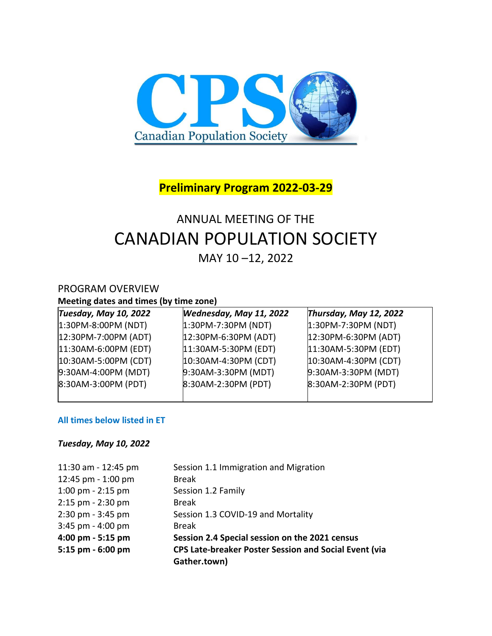

# **Preliminary Program 2022-03-29**

# ANNUAL MEETING OF THE CANADIAN POPULATION SOCIETY

MAY 10 –12, 2022

## PROGRAM OVERVIEW

**Meeting dates and times (by time zone)**

| <b>Tuesday, May 10, 2022</b> | Wednesday, May 11, 2022 | Thursday, May 12, 2022  |
|------------------------------|-------------------------|-------------------------|
| $1:30PM - 8:00PM (NDT)$      | $1:30PM - 7:30PM (NDT)$ | $1:30PM - 7:30PM (NDT)$ |
| 12:30PM-7:00PM (ADT)         | 12:30PM-6:30PM (ADT)    | 12:30PM-6:30PM (ADT)    |
| 11:30AM-6:00PM (EDT)         | 11:30AM-5:30PM (EDT)    | 11:30AM-5:30PM (EDT)    |
| 10:30AM-5:00PM (CDT)         | 10:30AM-4:30PM (CDT)    | 10:30AM-4:30PM (CDT)    |
| 9:30AM-4:00PM (MDT)          | 9:30AM-3:30PM (MDT)     | 9:30AM-3:30PM (MDT)     |
| 8:30AM-3:00PM (PDT)          | 8:30AM-2:30PM (PDT)     | 8:30AM-2:30PM (PDT)     |
|                              |                         |                         |

#### **All times below listed in ET**

#### *Tuesday, May 10, 2022*

| 11:30 am - 12:45 pm   | Session 1.1 Immigration and Migration                        |
|-----------------------|--------------------------------------------------------------|
| 12:45 pm - 1:00 pm    | <b>Break</b>                                                 |
| $1:00$ pm - $2:15$ pm | Session 1.2 Family                                           |
| 2:15 pm - 2:30 pm     | <b>Break</b>                                                 |
| 2:30 pm - 3:45 pm     | Session 1.3 COVID-19 and Mortality                           |
| $3:45$ pm - $4:00$ pm | <b>Break</b>                                                 |
| 4:00 pm - 5:15 pm     | Session 2.4 Special session on the 2021 census               |
| 5:15 pm - 6:00 pm     | <b>CPS Late-breaker Poster Session and Social Event (via</b> |
|                       | Gather.town)                                                 |